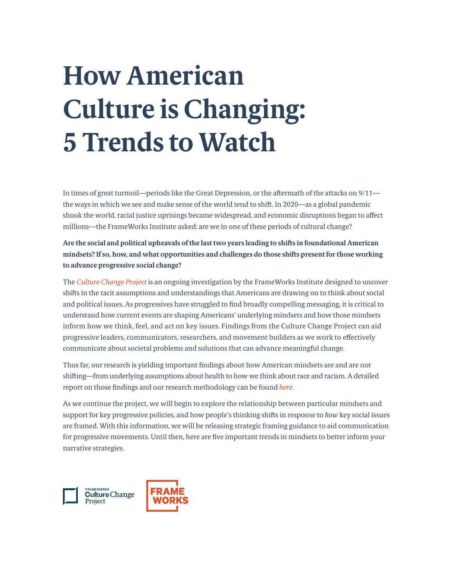# **How American Culture is Changing: 5 Trends to Watch**

In times of great turmoil—periods like the Great Depression, or the aftermath of the attacks on 9/11 the ways in which we see and make sense of the world tend to shift. In 2020—as a global pandemic shook the world, racial justice uprisings became widespread, and economic disruptions began to affect millions—the FrameWorks Institute asked: are we in one of these periods of cultural change?

**Are the social and political upheavals of the last two years leading to shifts in foundational American mindsets? If so, how, and what opportunities and challenges do those shifts present for those working to advance progressive social change?** 

The *[Culture Change Project](www.frameworksinstitute.org/culturechange)* is an ongoing investigation by the FrameWorks Institute designed to uncover shifts in the tacit assumptions and understandings that Americans are drawing on to think about social and political issues. As progressives have struggled to find broadly compelling messaging, it is critical to understand how current events are shaping Americans' underlying mindsets and how those mindsets inform how we think, feel, and act on key issues. Findings from the Culture Change Project can aid progressive leaders, communicators, researchers, and movement builders as we work to effectively communicate about societal problems and solutions that can advance meaningful change.

Thus far, our research is yielding important findings about how American mindsets are and are not shifting—from underlying assumptions about health to how we think about race and racism. A detailed report on those findings and our research methodology can be found *[here](https://www.frameworksinstitute.org/publication/how-is-culture-changing-in-this-time-of-social-upheaval/)*.

As we continue the project, we will begin to explore the relationship between particular mindsets and support for key progressive policies, and how people's thinking shifts in response to *how* key social issues are framed. With this information, we will be releasing strategic framing guidance to aid communication for progressive movements. Until then, here are five important trends in mindsets to better inform your narrative strategies.

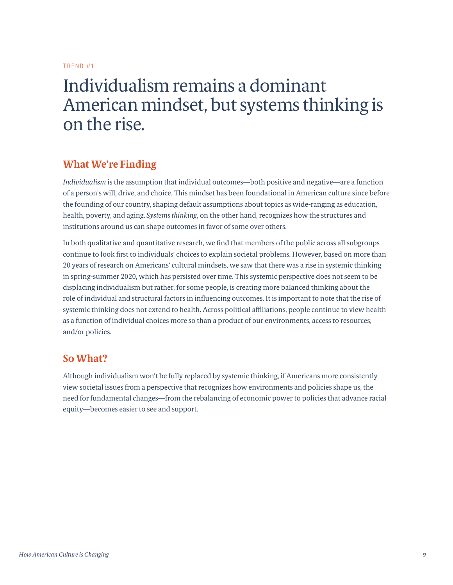### Individualism remains a dominant American mindset, but systems thinking is on the rise.

#### **What We're Finding**

*Individualism* is the assumption that individual outcomes—both positive and negative—are a function of a person's will, drive, and choice. This mindset has been foundational in American culture since before the founding of our country, shaping default assumptions about topics as wide-ranging as education, health, poverty, and aging. *Systems thinking*, on the other hand, recognizes how the structures and institutions around us can shape outcomes in favor of some over others.

In both qualitative and quantitative research, we find that members of the public across all subgroups continue to look first to individuals' choices to explain societal problems. However, based on more than 20 years of research on Americans' cultural mindsets, we saw that there was a rise in systemic thinking in spring-summer 2020, which has persisted over time. This systemic perspective does not seem to be displacing individualism but rather, for some people, is creating more balanced thinking about the role of individual and structural factors in influencing outcomes. It is important to note that the rise of systemic thinking does not extend to health. Across political affiliations, people continue to view health as a function of individual choices more so than a product of our environments, access to resources, and/or policies.

#### **So What?**

Although individualism won't be fully replaced by systemic thinking, if Americans more consistently view societal issues from a perspective that recognizes how environments and policies shape us, the need for fundamental changes—from the rebalancing of economic power to policies that advance racial equity—becomes easier to see and support.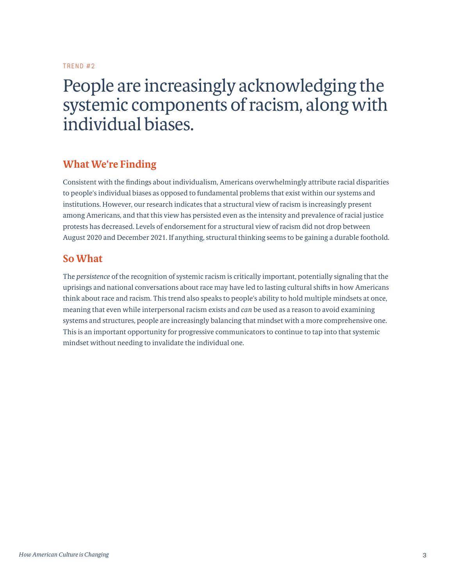### People are increasingly acknowledging the systemic components of racism, along with individual biases.

#### **What We're Finding**

Consistent with the findings about individualism, Americans overwhelmingly attribute racial disparities to people's individual biases as opposed to fundamental problems that exist within our systems and institutions. However, our research indicates that a structural view of racism is increasingly present among Americans, and that this view has persisted even as the intensity and prevalence of racial justice protests has decreased. Levels of endorsement for a structural view of racism did not drop between August 2020 and December 2021. If anything, structural thinking seems to be gaining a durable foothold.

#### **So What**

The *persistence* of the recognition of systemic racism is critically important, potentially signaling that the uprisings and national conversations about race may have led to lasting cultural shifts in how Americans think about race and racism. This trend also speaks to people's ability to hold multiple mindsets at once, meaning that even while interpersonal racism exists and *can* be used as a reason to avoid examining systems and structures, people are increasingly balancing that mindset with a more comprehensive one. This is an important opportunity for progressive communicators to continue to tap into that systemic mindset without needing to invalidate the individual one.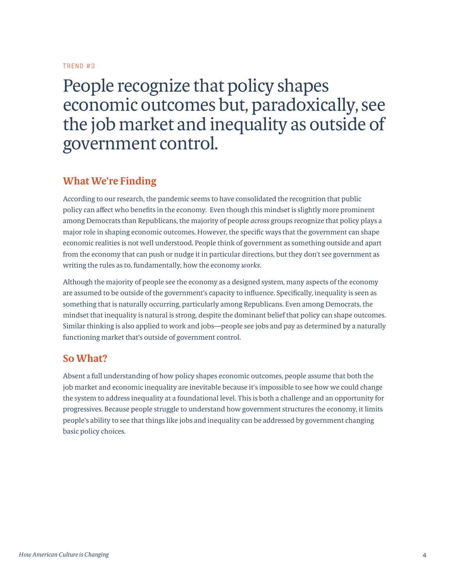### People recognize that policy shapes economic outcomes but, paradoxically, see the job market and inequality as outside of government control.

#### **What We're Finding**

According to our research, the pandemic seems to have consolidated the recognition that public policy can affect who benefits in the economy. Even though this mindset is slightly more prominent among Democrats than Republicans, the majority of people *across* groups recognize that policy plays a major role in shaping economic outcomes. However, the specific ways that the government can shape economic realities is not well understood. People think of government as something outside and apart from the economy that can push or nudge it in particular directions, but they don't see government as writing the rules as to, fundamentally, how the economy *works*.

Although the majority of people see the economy as a designed system, many aspects of the economy are assumed to be outside of the government's capacity to influence. Specifically, inequality is seen as something that is naturally occurring, particularly among Republicans. Even among Democrats, the mindset that inequality is natural is strong, despite the dominant belief that policy can shape outcomes. Similar thinking is also applied to work and jobs—people see jobs and pay as determined by a naturally functioning market that's outside of government control.

#### **So What?**

Absent a full understanding of how policy shapes economic outcomes, people assume that both the job market and economic inequality are inevitable because it's impossible to see how we could change the system to address inequality at a foundational level. This is both a challenge and an opportunity for progressives. Because people struggle to understand how government structures the economy, it limits people's ability to see that things like jobs and inequality can be addressed by government changing basic policy choices.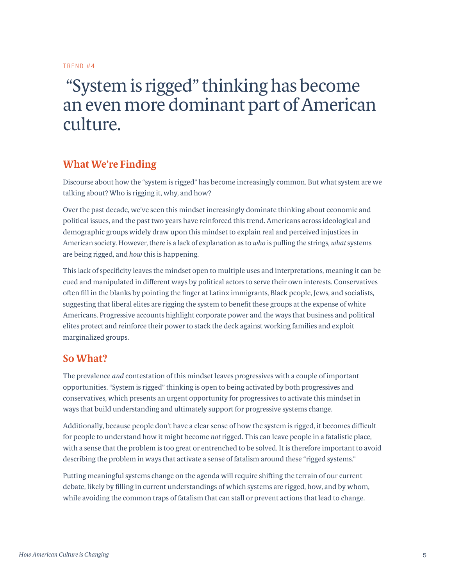### "System is rigged" thinking has become an even more dominant part of American culture.

#### **What We're Finding**

Discourse about how the "system is rigged" has become increasingly common. But what system are we talking about? Who is rigging it, why, and how?

Over the past decade, we've seen this mindset increasingly dominate thinking about economic and political issues, and the past two years have reinforced this trend. Americans across ideological and demographic groups widely draw upon this mindset to explain real and perceived injustices in American society. However, there is a lack of explanation as to *who* is pulling the strings, *what* systems are being rigged, and *how* this is happening.

This lack of specificity leaves the mindset open to multiple uses and interpretations, meaning it can be cued and manipulated in different ways by political actors to serve their own interests. Conservatives often fill in the blanks by pointing the finger at Latinx immigrants, Black people, Jews, and socialists, suggesting that liberal elites are rigging the system to benefit these groups at the expense of white Americans. Progressive accounts highlight corporate power and the ways that business and political elites protect and reinforce their power to stack the deck against working families and exploit marginalized groups.

#### **So What?**

The prevalence *and* contestation of this mindset leaves progressives with a couple of important opportunities. "System is rigged" thinking is open to being activated by both progressives and conservatives, which presents an urgent opportunity for progressives to activate this mindset in ways that build understanding and ultimately support for progressive systems change.

Additionally, because people don't have a clear sense of how the system is rigged, it becomes difficult for people to understand how it might become *not* rigged. This can leave people in a fatalistic place, with a sense that the problem is too great or entrenched to be solved. It is therefore important to avoid describing the problem in ways that activate a sense of fatalism around these "rigged systems."

Putting meaningful systems change on the agenda will require shifting the terrain of our current debate, likely by filling in current understandings of which systems are rigged, how, and by whom, while avoiding the common traps of fatalism that can stall or prevent actions that lead to change.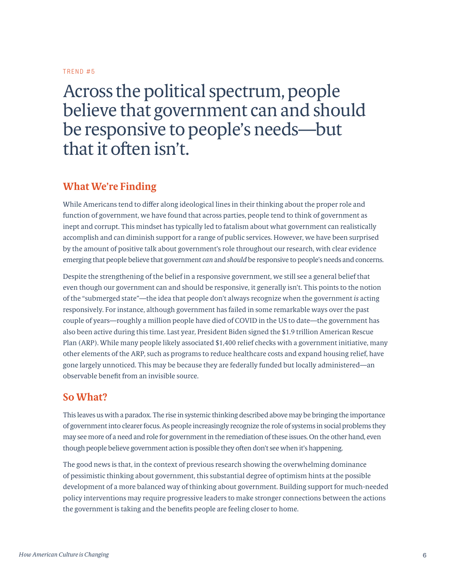### Across the political spectrum, people believe that government can and should be responsive to people's needs—but that it often isn't.

#### **What We're Finding**

While Americans tend to differ along ideological lines in their thinking about the proper role and function of government, we have found that across parties, people tend to think of government as inept and corrupt. This mindset has typically led to fatalism about what government can realistically accomplish and can diminish support for a range of public services. However, we have been surprised by the amount of positive talk about government's role throughout our research, with clear evidence emerging that people believe that government *can* and *should* be responsive to people's needs and concerns.

Despite the strengthening of the belief in a responsive government, we still see a general belief that even though our government can and should be responsive, it generally isn't. This points to the notion of the "submerged state"—the idea that people don't always recognize when the government *is* acting responsively. For instance, although government has failed in some remarkable ways over the past couple of years—roughly a million people have died of COVID in the US to date—the government has also been active during this time. Last year, President Biden signed the \$1.9 trillion American Rescue Plan (ARP). While many people likely associated \$1,400 relief checks with a government initiative, many other elements of the ARP, such as programs to reduce healthcare costs and expand housing relief, have gone largely unnoticed. This may be because they are federally funded but locally administered—an observable benefit from an invisible source.

#### **So What?**

This leaves us with a paradox. The rise in systemic thinking described above may be bringing the importance of government into clearer focus. As people increasingly recognize the role of systems in social problems they may see more of a need and role for government in the remediation of these issues. On the other hand, even though people believe government action is possible they often don't see when it's happening.

The good news is that, in the context of previous research showing the overwhelming dominance of pessimistic thinking about government, this substantial degree of optimism hints at the possible development of a more balanced way of thinking about government. Building support for much-needed policy interventions may require progressive leaders to make stronger connections between the actions the government is taking and the benefits people are feeling closer to home.